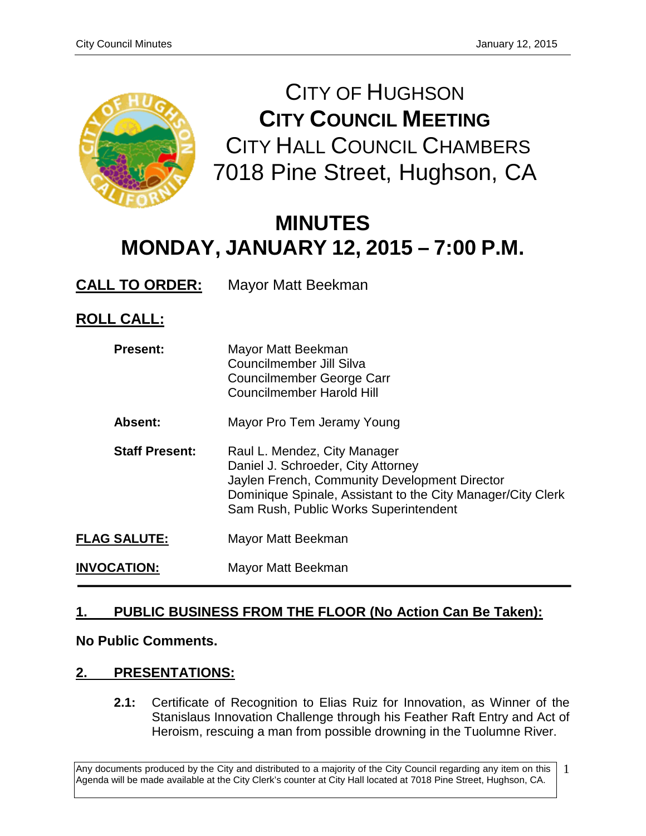

CITY OF HUGHSON **CITY COUNCIL MEETING** CITY HALL COUNCIL CHAMBERS 7018 Pine Street, Hughson, CA

# **MINUTES MONDAY, JANUARY 12, 2015 – 7:00 P.M.**

**CALL TO ORDER:** Mayor Matt Beekman

## **ROLL CALL:**

| <b>Present:</b>       | Mayor Matt Beekman<br>Councilmember Jill Silva<br>Councilmember George Carr<br>Councilmember Harold Hill                                                                                                                    |
|-----------------------|-----------------------------------------------------------------------------------------------------------------------------------------------------------------------------------------------------------------------------|
| Absent:               | Mayor Pro Tem Jeramy Young                                                                                                                                                                                                  |
| <b>Staff Present:</b> | Raul L. Mendez, City Manager<br>Daniel J. Schroeder, City Attorney<br>Jaylen French, Community Development Director<br>Dominique Spinale, Assistant to the City Manager/City Clerk<br>Sam Rush, Public Works Superintendent |
| <b>FLAG SALUTE:</b>   | Mayor Matt Beekman                                                                                                                                                                                                          |
| <b>INVOCATION:</b>    | Mayor Matt Beekman                                                                                                                                                                                                          |

### **1. PUBLIC BUSINESS FROM THE FLOOR (No Action Can Be Taken):**

#### **No Public Comments.**

#### **2. PRESENTATIONS:**

**2.1:** Certificate of Recognition to Elias Ruiz for Innovation, as Winner of the Stanislaus Innovation Challenge through his Feather Raft Entry and Act of Heroism, rescuing a man from possible drowning in the Tuolumne River.

Any documents produced by the City and distributed to a majority of the City Council regarding any item on this Agenda will be made available at the City Clerk's counter at City Hall located at 7018 Pine Street, Hughson, CA. 1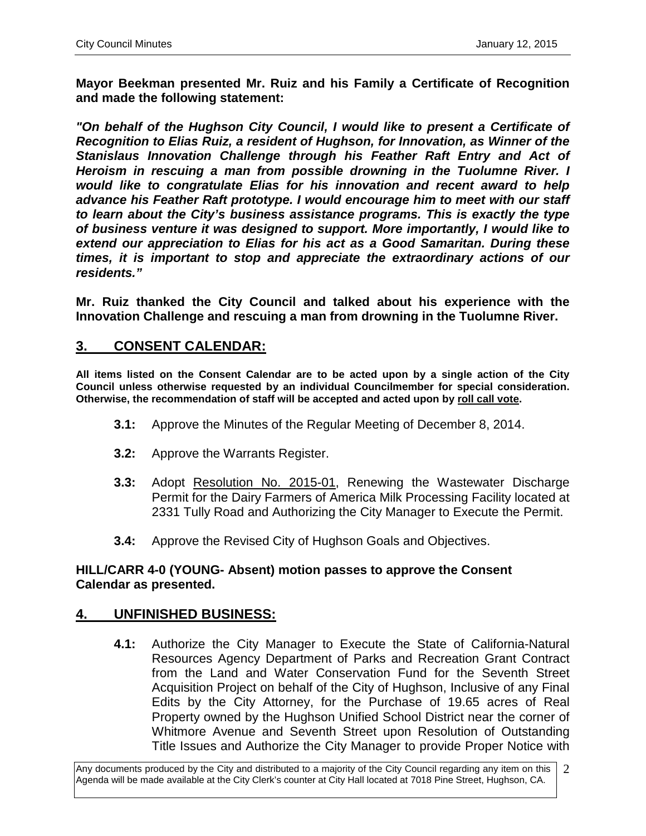**Mayor Beekman presented Mr. Ruiz and his Family a Certificate of Recognition and made the following statement:** 

*"On behalf of the Hughson City Council, I would like to present a Certificate of Recognition to Elias Ruiz, a resident of Hughson, for Innovation, as Winner of the Stanislaus Innovation Challenge through his Feather Raft Entry and Act of Heroism in rescuing a man from possible drowning in the Tuolumne River. I would like to congratulate Elias for his innovation and recent award to help advance his Feather Raft prototype. I would encourage him to meet with our staff to learn about the City's business assistance programs. This is exactly the type of business venture it was designed to support. More importantly, I would like to extend our appreciation to Elias for his act as a Good Samaritan. During these times, it is important to stop and appreciate the extraordinary actions of our residents."* 

**Mr. Ruiz thanked the City Council and talked about his experience with the Innovation Challenge and rescuing a man from drowning in the Tuolumne River.** 

#### **3. CONSENT CALENDAR:**

**All items listed on the Consent Calendar are to be acted upon by a single action of the City Council unless otherwise requested by an individual Councilmember for special consideration. Otherwise, the recommendation of staff will be accepted and acted upon by roll call vote.**

- **3.1:** Approve the Minutes of the Regular Meeting of December 8, 2014.
- **3.2:** Approve the Warrants Register.
- **3.3:** Adopt Resolution No. 2015-01, Renewing the Wastewater Discharge Permit for the Dairy Farmers of America Milk Processing Facility located at 2331 Tully Road and Authorizing the City Manager to Execute the Permit.
- **3.4:** Approve the Revised City of Hughson Goals and Objectives.

#### **HILL/CARR 4-0 (YOUNG- Absent) motion passes to approve the Consent Calendar as presented.**

#### **4. UNFINISHED BUSINESS:**

**4.1:** Authorize the City Manager to Execute the State of California-Natural Resources Agency Department of Parks and Recreation Grant Contract from the Land and Water Conservation Fund for the Seventh Street Acquisition Project on behalf of the City of Hughson, Inclusive of any Final Edits by the City Attorney, for the Purchase of 19.65 acres of Real Property owned by the Hughson Unified School District near the corner of Whitmore Avenue and Seventh Street upon Resolution of Outstanding Title Issues and Authorize the City Manager to provide Proper Notice with

Any documents produced by the City and distributed to a majority of the City Council regarding any item on this Agenda will be made available at the City Clerk's counter at City Hall located at 7018 Pine Street, Hughson, CA. 2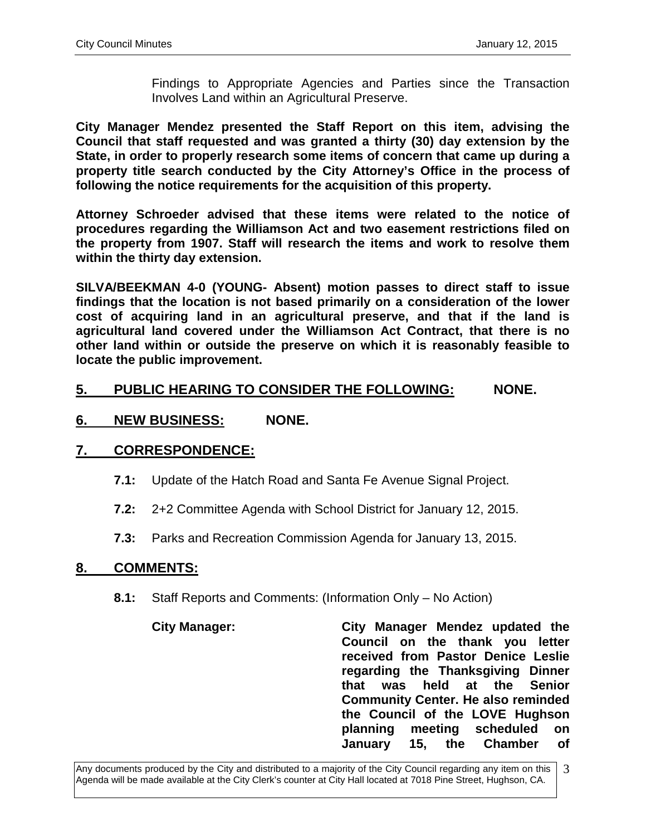Findings to Appropriate Agencies and Parties since the Transaction Involves Land within an Agricultural Preserve.

**City Manager Mendez presented the Staff Report on this item, advising the Council that staff requested and was granted a thirty (30) day extension by the State, in order to properly research some items of concern that came up during a property title search conducted by the City Attorney's Office in the process of following the notice requirements for the acquisition of this property.** 

**Attorney Schroeder advised that these items were related to the notice of procedures regarding the Williamson Act and two easement restrictions filed on the property from 1907. Staff will research the items and work to resolve them within the thirty day extension.**

**SILVA/BEEKMAN 4-0 (YOUNG- Absent) motion passes to direct staff to issue findings that the location is not based primarily on a consideration of the lower cost of acquiring land in an agricultural preserve, and that if the land is agricultural land covered under the Williamson Act Contract, that there is no other land within or outside the preserve on which it is reasonably feasible to locate the public improvement.** 

#### **5. PUBLIC HEARING TO CONSIDER THE FOLLOWING: NONE.**

#### **6. NEW BUSINESS: NONE.**

#### **7. CORRESPONDENCE:**

- **7.1:** Update of the Hatch Road and Santa Fe Avenue Signal Project.
- **7.2:** 2+2 Committee Agenda with School District for January 12, 2015.
- **7.3:** Parks and Recreation Commission Agenda for January 13, 2015.

#### **8. COMMENTS:**

- **8.1:** Staff Reports and Comments: (Information Only No Action)
	- **City Manager: City Manager Mendez updated the Council on the thank you letter received from Pastor Denice Leslie regarding the Thanksgiving Dinner held at the Senior Community Center. He also reminded the Council of the LOVE Hughson planning meeting scheduled on January 15, the Chamber of**

Any documents produced by the City and distributed to a majority of the City Council regarding any item on this Agenda will be made available at the City Clerk's counter at City Hall located at 7018 Pine Street, Hughson, CA. 3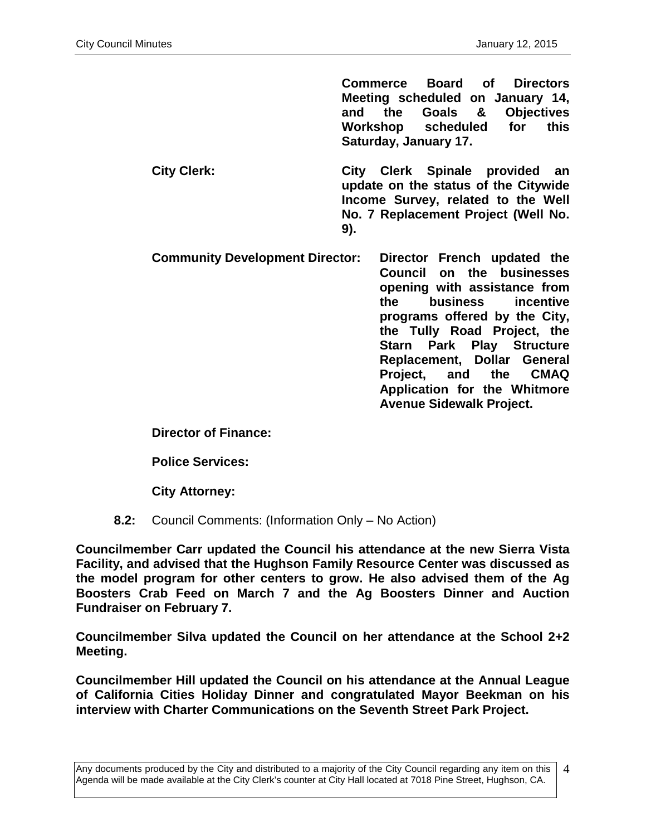**Commerce Board of Directors Meeting scheduled on January 14, and the Goals & Objectives Workshop scheduled for this Saturday, January 17.** 

- **City Clerk: City Clerk Spinale provided an update on the status of the Citywide Income Survey, related to the Well No. 7 Replacement Project (Well No. 9).**
- **Community Development Director: Director French updated the Council on the businesses opening with assistance from the business incentive programs offered by the City, the Tully Road Project, the Starn Park Play Structure Replacement, Dollar General Project, and the CMAQ Application for the Whitmore Avenue Sidewalk Project.**

**Director of Finance:**

**Police Services:**

**City Attorney:**

**8.2:** Council Comments: (Information Only – No Action)

**Councilmember Carr updated the Council his attendance at the new Sierra Vista Facility, and advised that the Hughson Family Resource Center was discussed as the model program for other centers to grow. He also advised them of the Ag Boosters Crab Feed on March 7 and the Ag Boosters Dinner and Auction Fundraiser on February 7.** 

**Councilmember Silva updated the Council on her attendance at the School 2+2 Meeting.** 

**Councilmember Hill updated the Council on his attendance at the Annual League of California Cities Holiday Dinner and congratulated Mayor Beekman on his interview with Charter Communications on the Seventh Street Park Project.** 

4

Any documents produced by the City and distributed to a majority of the City Council regarding any item on this Agenda will be made available at the City Clerk's counter at City Hall located at 7018 Pine Street, Hughson, CA.